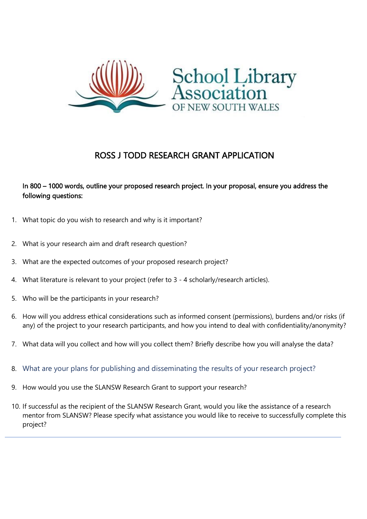

## ROSS J TODD RESEARCH GRANT APPLICATION

## In 800 – 1000 words, outline your proposed research project. In your proposal, ensure you address the following questions:

- 1. What topic do you wish to research and why is it important?
- 2. What is your research aim and draft research question?
- 3. What are the expected outcomes of your proposed research project?
- 4. What literature is relevant to your project (refer to 3 4 scholarly/research articles).
- 5. Who will be the participants in your research?
- 6. How will you address ethical considerations such as informed consent (permissions), burdens and/or risks (if any) of the project to your research participants, and how you intend to deal with confidentiality/anonymity?
- 7. What data will you collect and how will you collect them? Briefly describe how you will analyse the data?
- 8. What are your plans for publishing and disseminating the results of your research project?
- 9. How would you use the SLANSW Research Grant to support your research?
- 10. If successful as the recipient of the SLANSW Research Grant, would you like the assistance of a research mentor from SLANSW? Please specify what assistance you would like to receive to successfully complete this project?